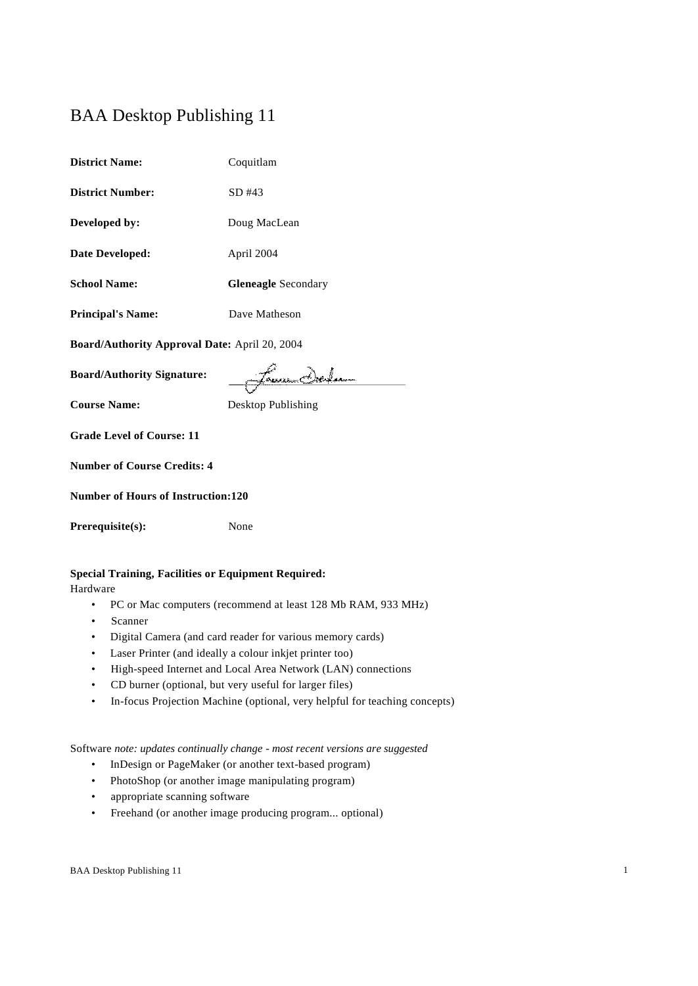# BAA Desktop Publishing 11

| <b>District Name:</b>                         | Coquitlam                  |  |  |  |  |
|-----------------------------------------------|----------------------------|--|--|--|--|
| <b>District Number:</b>                       | $SD$ #43                   |  |  |  |  |
| Developed by:                                 | Doug MacLean               |  |  |  |  |
| Date Developed:                               | April 2004                 |  |  |  |  |
| <b>School Name:</b>                           | <b>Gleneagle</b> Secondary |  |  |  |  |
| <b>Principal's Name:</b>                      | Dave Matheson              |  |  |  |  |
| Board/Authority Approval Date: April 20, 2004 |                            |  |  |  |  |
| <b>Board/Authority Signature:</b>             |                            |  |  |  |  |
|                                               |                            |  |  |  |  |
| <b>Course Name:</b>                           | Desktop Publishing         |  |  |  |  |
| <b>Grade Level of Course: 11</b>              |                            |  |  |  |  |
| <b>Number of Course Credits: 4</b>            |                            |  |  |  |  |
| <b>Number of Hours of Instruction:120</b>     |                            |  |  |  |  |
| Prerequisite(s):                              | None                       |  |  |  |  |

# **Special Training, Facilities or Equipment Required:**

Hardware

- PC or Mac computers (recommend at least 128 Mb RAM, 933 MHz)
- Scanner
- Digital Camera (and card reader for various memory cards)
- Laser Printer (and ideally a colour inkjet printer too)
- High-speed Internet and Local Area Network (LAN) connections
- CD burner (optional, but very useful for larger files)
- In-focus Projection Machine (optional, very helpful for teaching concepts)

Software *note: updates continually change - most recent versions are suggested*

- InDesign or PageMaker (or another text-based program)
- PhotoShop (or another image manipulating program)
- appropriate scanning software
- Freehand (or another image producing program... optional)

BAA Desktop Publishing 11 1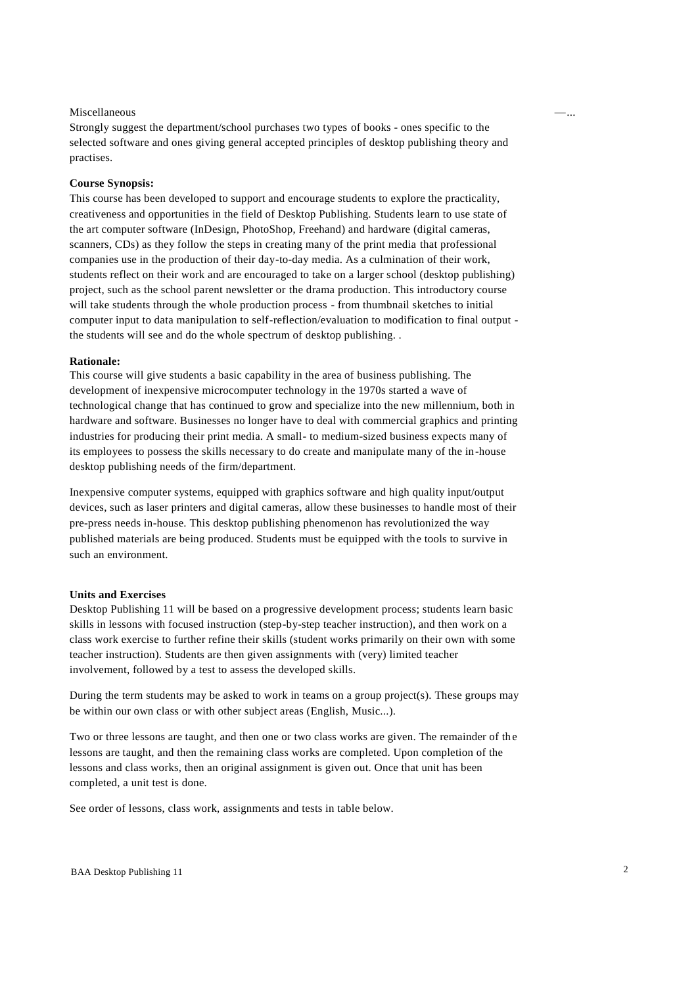#### $M$ iscellaneous  $\qquad$

Strongly suggest the department/school purchases two types of books - ones specific to the selected software and ones giving general accepted principles of desktop publishing theory and practises.

#### **Course Synopsis:**

This course has been developed to support and encourage students to explore the practicality, creativeness and opportunities in the field of Desktop Publishing. Students learn to use state of the art computer software (InDesign, PhotoShop, Freehand) and hardware (digital cameras, scanners, CDs) as they follow the steps in creating many of the print media that professional companies use in the production of their day-to-day media. As a culmination of their work, students reflect on their work and are encouraged to take on a larger school (desktop publishing) project, such as the school parent newsletter or the drama production. This introductory course will take students through the whole production process - from thumbnail sketches to initial computer input to data manipulation to self-reflection/evaluation to modification to final output the students will see and do the whole spectrum of desktop publishing. .

#### **Rationale:**

This course will give students a basic capability in the area of business publishing. The development of inexpensive microcomputer technology in the 1970s started a wave of technological change that has continued to grow and specialize into the new millennium, both in hardware and software. Businesses no longer have to deal with commercial graphics and printing industries for producing their print media. A small- to medium-sized business expects many of its employees to possess the skills necessary to do create and manipulate many of the in-house desktop publishing needs of the firm/department.

Inexpensive computer systems, equipped with graphics software and high quality input/output devices, such as laser printers and digital cameras, allow these businesses to handle most of their pre-press needs in-house. This desktop publishing phenomenon has revolutionized the way published materials are being produced. Students must be equipped with the tools to survive in such an environment.

### **Units and Exercises**

Desktop Publishing 11 will be based on a progressive development process; students learn basic skills in lessons with focused instruction (step-by-step teacher instruction), and then work on a class work exercise to further refine their skills (student works primarily on their own with some teacher instruction). Students are then given assignments with (very) limited teacher involvement, followed by a test to assess the developed skills.

During the term students may be asked to work in teams on a group project(s). These groups may be within our own class or with other subject areas (English, Music...).

Two or three lessons are taught, and then one or two class works are given. The remainder of the lessons are taught, and then the remaining class works are completed. Upon completion of the lessons and class works, then an original assignment is given out. Once that unit has been completed, a unit test is done.

See order of lessons, class work, assignments and tests in table below.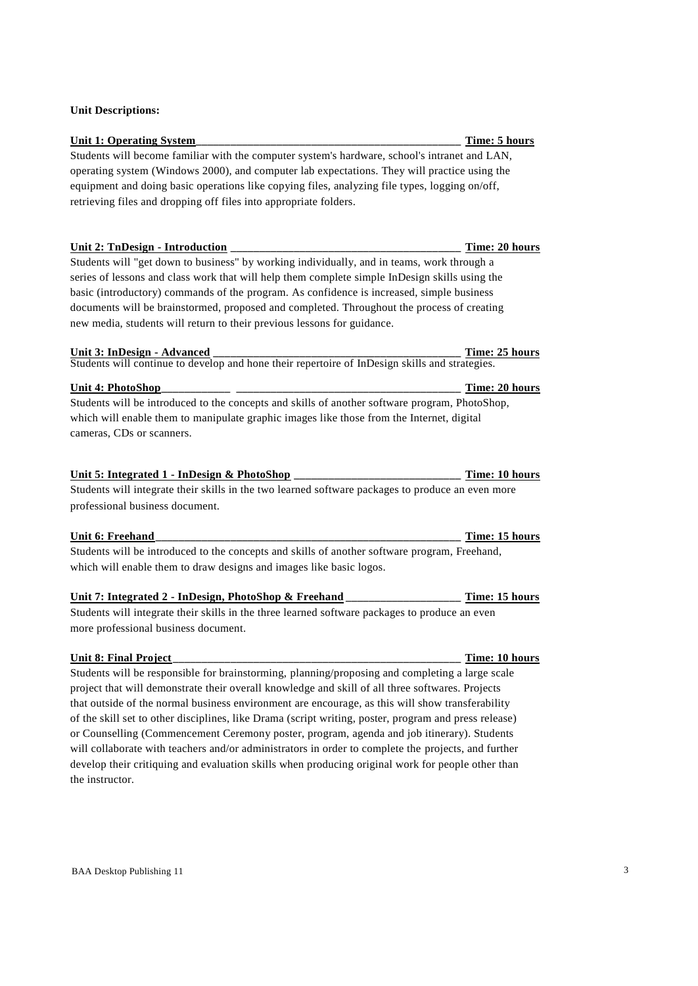## **Unit Descriptions:**

# Unit 1: Operating System Students will become familiar with the computer system's hardware, school's intranet and LAN, operating system (Windows 2000), and computer lab expectations. They will practice using the equipment and doing basic operations like copying files, analyzing file types, logging on/off, retrieving files and dropping off files into appropriate folders.

#### **Unit 2: TnDesign - Introduction \_\_\_\_\_\_\_\_\_\_\_\_\_\_\_\_\_\_\_\_\_\_\_\_\_\_\_\_\_\_\_\_\_\_\_\_\_\_\_\_ Time: 20 hours**

Students will "get down to business" by working individually, and in teams, work through a series of lessons and class work that will help them complete simple InDesign skills using the basic (introductory) commands of the program. As confidence is increased, simple business documents will be brainstormed, proposed and completed. Throughout the process of creating new media, students will return to their previous lessons for guidance.

# **Unit 3: InDesign - Advanced \_\_\_\_\_\_\_\_\_\_\_\_\_\_\_\_\_\_\_\_\_\_\_\_\_\_\_\_\_\_\_\_\_\_\_\_\_\_\_\_\_\_\_ Time: 25 hours**

Students will continue to develop and hone their repertoire of InDesign skills and strategies.

#### **Unit 4: PhotoShop\_\_\_\_\_\_\_\_\_\_\_\_ \_\_\_\_\_\_\_\_\_\_\_\_\_\_\_\_\_\_\_\_\_\_\_\_\_\_\_\_\_\_\_\_\_\_\_\_\_\_\_ Time: 20 hours**

Students will be introduced to the concepts and skills of another software program, PhotoShop, which will enable them to manipulate graphic images like those from the Internet, digital cameras, CDs or scanners.

### **Unit 5: Integrated 1 - InDesign & PhotoShop \_\_\_\_\_\_\_\_\_\_\_\_\_\_\_\_\_\_\_\_\_\_\_\_\_\_\_\_\_ Time: 10 hours**

Students will integrate their skills in the two learned software packages to produce an even more professional business document.

#### **Unit 6: Freehand\_\_\_\_\_\_\_\_\_\_\_\_\_\_\_\_\_\_\_\_\_\_\_\_\_\_\_\_\_\_\_\_\_\_\_\_\_\_\_\_\_\_\_\_\_\_\_\_\_\_\_\_\_ Time: 15 hours**

Students will be introduced to the concepts and skills of another software program, Freehand, which will enable them to draw designs and images like basic logos.

## **Unit 7: Integrated 2 - InDesign, PhotoShop & Freehand \_\_\_\_\_\_\_\_\_\_\_\_\_\_\_\_\_\_\_\_ Time: 15 hours**

Students will integrate their skills in the three learned software packages to produce an even more professional business document.

# **Unit 8: Final Project \_\_\_\_\_\_\_\_\_\_\_\_\_\_\_\_\_\_\_\_\_\_\_\_\_\_\_\_\_\_\_\_\_\_\_\_\_\_\_\_\_\_\_\_\_\_\_\_\_\_ Time: 10 hours**

Students will be responsible for brainstorming, planning/proposing and completing a large scale project that will demonstrate their overall knowledge and skill of all three softwares. Projects that outside of the normal business environment are encourage, as this will show transferability of the skill set to other disciplines, like Drama (script writing, poster, program and press release) or Counselling (Commencement Ceremony poster, program, agenda and job itinerary). Students will collaborate with teachers and/or administrators in order to complete the projects, and further develop their critiquing and evaluation skills when producing original work for people other than the instructor.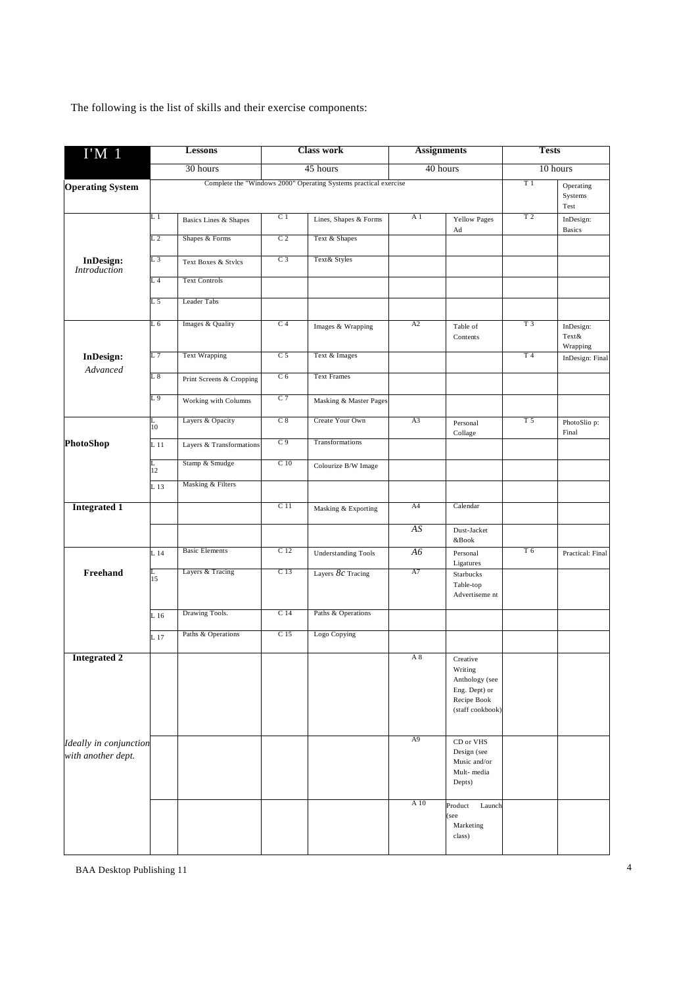The following is the list of skills and their exercise components:

| $I'M$ 1                                      | <b>Lessons</b><br>30 hours |                          | <b>Class work</b><br>45 hours                                    |                            | <b>Assignments</b><br>40 hours |                                                                                           | <b>Tests</b><br>10 hours |                              |
|----------------------------------------------|----------------------------|--------------------------|------------------------------------------------------------------|----------------------------|--------------------------------|-------------------------------------------------------------------------------------------|--------------------------|------------------------------|
|                                              |                            |                          |                                                                  |                            |                                |                                                                                           |                          |                              |
| <b>Operating System</b>                      |                            |                          | Complete the "Windows 2000" Operating Systems practical exercise |                            |                                |                                                                                           | T 1                      | Operating<br>Systems<br>Test |
|                                              | L 1                        | Basics Lines & Shapes    | C <sub>1</sub>                                                   | Lines, Shapes & Forms      | A <sub>1</sub>                 | <b>Yellow Pages</b><br>Ad                                                                 | T <sub>2</sub>           | InDesign:<br><b>Basics</b>   |
|                                              | L 2                        | Shapes & Forms           | C <sub>2</sub>                                                   | Text & Shapes              |                                |                                                                                           |                          |                              |
| <b>InDesign:</b><br><b>Introduction</b>      | L 3                        | Text Boxes & Stylcs      | C <sub>3</sub>                                                   | Text& Styles               |                                |                                                                                           |                          |                              |
|                                              | L <sub>4</sub>             | <b>Text Controls</b>     |                                                                  |                            |                                |                                                                                           |                          |                              |
|                                              | L 5                        | <b>Leader Tabs</b>       |                                                                  |                            |                                |                                                                                           |                          |                              |
|                                              | L 6                        | Images & Quality         | C <sub>4</sub>                                                   | Images & Wrapping          | A2                             | Table of<br>Contents                                                                      | T <sub>3</sub>           | InDesign:<br>Text&           |
| <b>InDesign:</b>                             | L 7                        | <b>Text Wrapping</b>     | C <sub>5</sub>                                                   | Text & Images              |                                |                                                                                           | T <sub>4</sub>           | Wrapping<br>InDesign: Final  |
| Advanced                                     | $L_{\rm}$ $8$              | Print Screens & Cropping | C <sub>6</sub>                                                   | <b>Text Frames</b>         |                                |                                                                                           |                          |                              |
|                                              | L9                         | Working with Columns     | C <sub>7</sub>                                                   | Masking & Master Pages     |                                |                                                                                           |                          |                              |
|                                              | L<br>10                    | Layers & Opacity         | C8                                                               | Create Your Own            | A <sub>3</sub>                 | Personal<br>Collage                                                                       | T <sub>5</sub>           | PhotoSlio p:<br>Final        |
| PhotoShop                                    | L <sub>11</sub>            | Layers & Transformations | C <sub>9</sub>                                                   | Transformations            |                                |                                                                                           |                          |                              |
|                                              | L<br>12                    | Stamp & Smudge           | C <sub>10</sub>                                                  | Colourize B/W Image        |                                |                                                                                           |                          |                              |
|                                              | L 13                       | Masking & Filters        |                                                                  |                            |                                |                                                                                           |                          |                              |
| <b>Integrated 1</b>                          |                            |                          | C 11                                                             | Masking & Exporting        | A4                             | Calendar                                                                                  |                          |                              |
|                                              |                            |                          |                                                                  |                            | AS                             | Dust-Jacket<br>&Book                                                                      |                          |                              |
|                                              | L 14                       | <b>Basic Elements</b>    | C <sub>12</sub>                                                  | <b>Understanding Tools</b> | A6                             | Personal<br>Ligatures                                                                     | T 6                      | Practical: Final             |
| Freehand                                     | L<br>15                    | Layers & Tracing         | C <sub>13</sub>                                                  | Layers $8c$ Tracing        | A7                             | Starbucks<br>Table-top<br>Advertiseme nt                                                  |                          |                              |
|                                              | L 16                       | Drawing Tools.           | C <sub>14</sub>                                                  | Paths & Operations         |                                |                                                                                           |                          |                              |
|                                              | L 17                       | Paths & Operations       | C <sub>15</sub>                                                  | Logo Copying               |                                |                                                                                           |                          |                              |
| <b>Integrated 2</b>                          |                            |                          |                                                                  |                            | A 8                            | Creative<br>Writing<br>Anthology (see<br>Eng. Dept) or<br>Recipe Book<br>(staff cookbook) |                          |                              |
| Ideally in conjunction<br>with another dept. |                            |                          |                                                                  |                            | A9                             | CD or VHS<br>Design (see<br>Music and/or<br>Mult-media<br>Depts)                          |                          |                              |
|                                              |                            |                          |                                                                  |                            | A 10                           | Product<br>Launch<br>see<br>Marketing<br>class)                                           |                          |                              |

BAA Desktop Publishing 11 4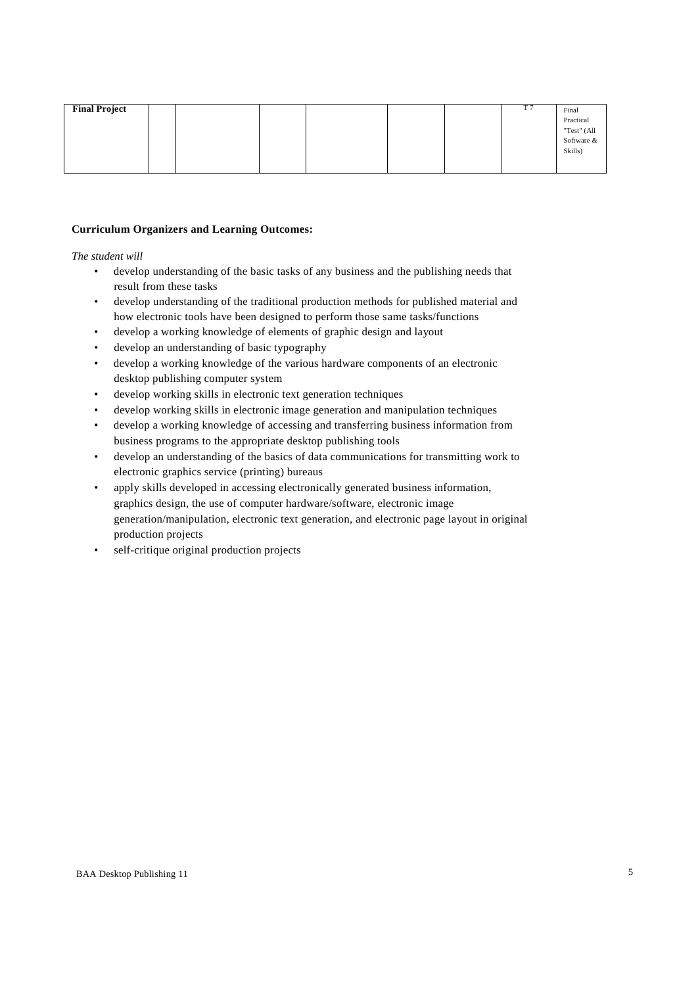### **Curriculum Organizers and Learning Outcomes:**

*The student will*

- develop understanding of the basic tasks of any business and the publishing needs that result from these tasks
- develop understanding of the traditional production methods for published material and how electronic tools have been designed to perform those same tasks/functions
- develop a working knowledge of elements of graphic design and layout
- develop an understanding of basic typography
- develop a working knowledge of the various hardware components of an electronic desktop publishing computer system
- develop working skills in electronic text generation techniques
- develop working skills in electronic image generation and manipulation techniques
- develop a working knowledge of accessing and transferring business information from business programs to the appropriate desktop publishing tools
- develop an understanding of the basics of data communications for transmitting work to electronic graphics service (printing) bureaus
- apply skills developed in accessing electronically generated business information, graphics design, the use of computer hardware/software, electronic image generation/manipulation, electronic text generation, and electronic page layout in original production projects
- self-critique original production projects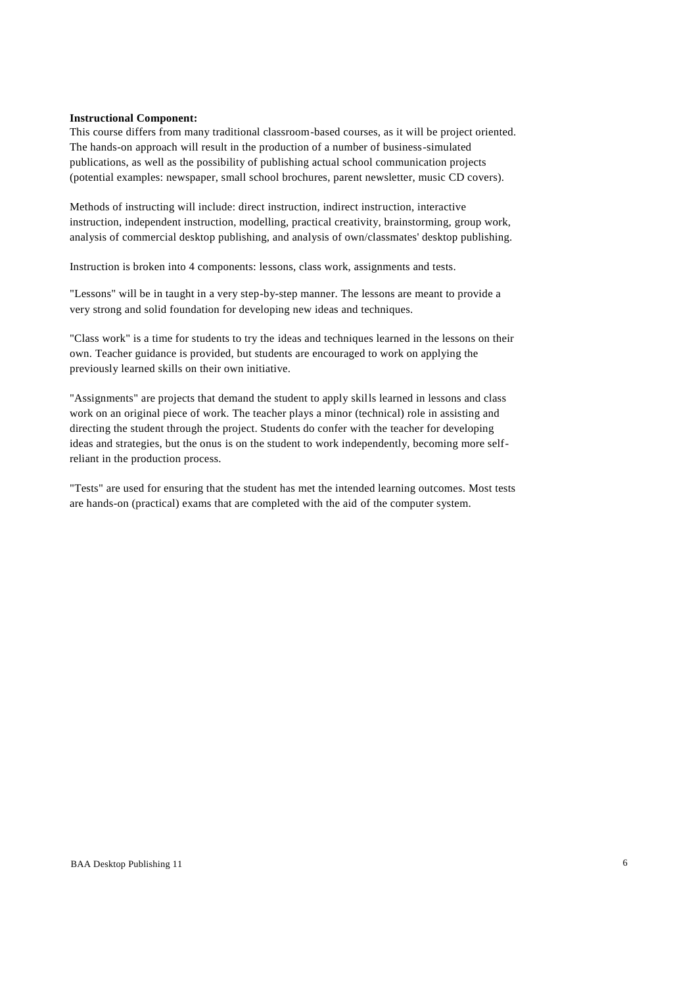#### **Instructional Component:**

This course differs from many traditional classroom-based courses, as it will be project oriented. The hands-on approach will result in the production of a number of business-simulated publications, as well as the possibility of publishing actual school communication projects (potential examples: newspaper, small school brochures, parent newsletter, music CD covers).

Methods of instructing will include: direct instruction, indirect instruction, interactive instruction, independent instruction, modelling, practical creativity, brainstorming, group work, analysis of commercial desktop publishing, and analysis of own/classmates' desktop publishing.

Instruction is broken into 4 components: lessons, class work, assignments and tests.

"Lessons" will be in taught in a very step-by-step manner. The lessons are meant to provide a very strong and solid foundation for developing new ideas and techniques.

"Class work" is a time for students to try the ideas and techniques learned in the lessons on their own. Teacher guidance is provided, but students are encouraged to work on applying the previously learned skills on their own initiative.

"Assignments" are projects that demand the student to apply skills learned in lessons and class work on an original piece of work. The teacher plays a minor (technical) role in assisting and directing the student through the project. Students do confer with the teacher for developing ideas and strategies, but the onus is on the student to work independently, becoming more selfreliant in the production process.

"Tests" are used for ensuring that the student has met the intended learning outcomes. Most tests are hands-on (practical) exams that are completed with the aid of the computer system.